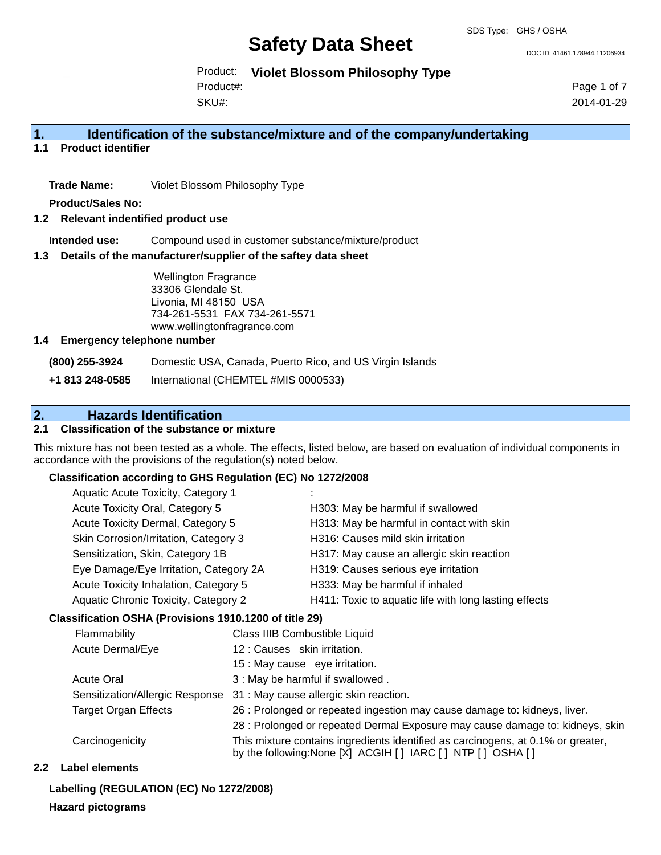DOC ID: 41461.178944.11206934

Product: **Violet Blossom Philosophy Type**

SKU#: Product#: Page 1 of 7 2014-01-29

## **1. Identification of the substance/mixture and of the company/undertaking**

**1.1 Product identifier**

**Trade Name:** Violet Blossom Philosophy Type

**Product/Sales No:**

## **1.2 Relevant indentified product use**

**Intended use:** Compound used in customer substance/mixture/product

## **1.3 Details of the manufacturer/supplier of the saftey data sheet**

Wellington Fragrance 33306 Glendale St. Livonia, MI 48150 USA 734-261-5531 FAX 734-261-5571 www.wellingtonfragrance.com

## **1.4 Emergency telephone number**

**(800) 255-3924** Domestic USA, Canada, Puerto Rico, and US Virgin Islands

**+1 813 248-0585** International (CHEMTEL #MIS 0000533)

## **2. Hazards Identification**

## **2.1 Classification of the substance or mixture**

This mixture has not been tested as a whole. The effects, listed below, are based on evaluation of individual components in accordance with the provisions of the regulation(s) noted below.

## **Classification according to GHS Regulation (EC) No 1272/2008**

| Aquatic Acute Toxicity, Category 1          |                                                       |
|---------------------------------------------|-------------------------------------------------------|
| Acute Toxicity Oral, Category 5             | H303: May be harmful if swallowed                     |
| Acute Toxicity Dermal, Category 5           | H313: May be harmful in contact with skin             |
| Skin Corrosion/Irritation, Category 3       | H316: Causes mild skin irritation                     |
| Sensitization, Skin, Category 1B            | H317: May cause an allergic skin reaction             |
| Eye Damage/Eye Irritation, Category 2A      | H319: Causes serious eye irritation                   |
| Acute Toxicity Inhalation, Category 5       | H333: May be harmful if inhaled                       |
| <b>Aquatic Chronic Toxicity, Category 2</b> | H411: Toxic to aquatic life with long lasting effects |
|                                             |                                                       |

## **Classification OSHA (Provisions 1910.1200 of title 29)**

| Flammability                    | Class IIIB Combustible Liquid                                                                                                                  |
|---------------------------------|------------------------------------------------------------------------------------------------------------------------------------------------|
| Acute Dermal/Eye                | 12: Causes skin irritation.                                                                                                                    |
|                                 | 15 : May cause eye irritation.                                                                                                                 |
| <b>Acute Oral</b>               | 3 : May be harmful if swallowed.                                                                                                               |
| Sensitization/Allergic Response | 31 : May cause allergic skin reaction.                                                                                                         |
| <b>Target Organ Effects</b>     | 26 : Prolonged or repeated ingestion may cause damage to: kidneys, liver.                                                                      |
|                                 | 28 : Prolonged or repeated Dermal Exposure may cause damage to: kidneys, skin                                                                  |
| Carcinogenicity                 | This mixture contains ingredients identified as carcinogens, at 0.1% or greater,<br>by the following: None [X] ACGIH [] IARC [] NTP [] OSHA [] |

## **2.2 Label elements**

## **Labelling (REGULATION (EC) No 1272/2008)**

## **Hazard pictograms**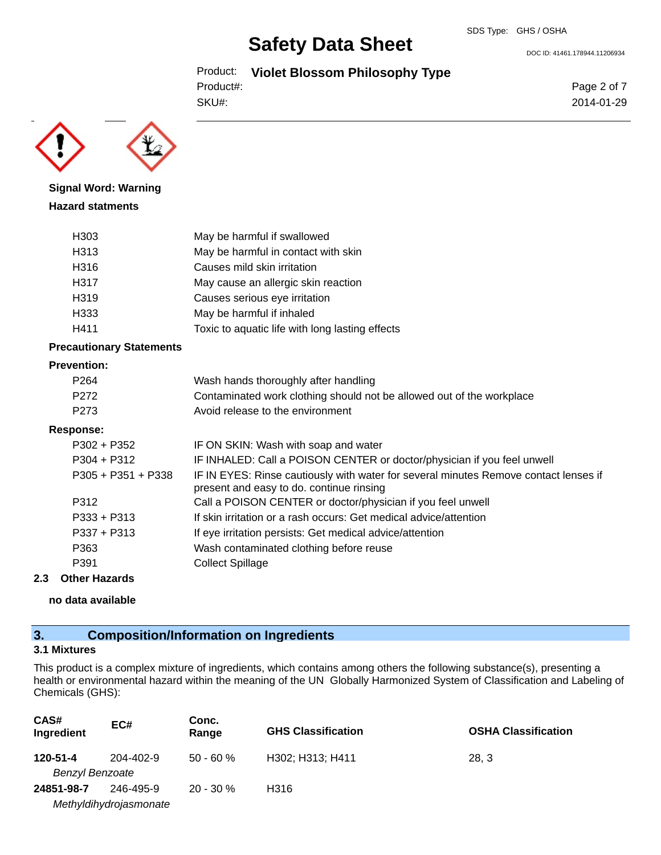DOC ID: 41461.178944.11206934

```
Product: Violet Blossom Philosophy Type
```

```
SKU#:
Product#:
```


**Signal Word: Warning Hazard statments**

| H <sub>303</sub> | May be harmful if swallowed                     |
|------------------|-------------------------------------------------|
| H313             | May be harmful in contact with skin             |
| H316             | Causes mild skin irritation                     |
| H317             | May cause an allergic skin reaction             |
| H319             | Causes serious eye irritation                   |
| H333             | May be harmful if inhaled                       |
| H411             | Toxic to aquatic life with long lasting effects |

## **Precautionary Statements**

#### **Prevention:**

| P <sub>264</sub>     | Wash hands thoroughly after handling                                                                                             |
|----------------------|----------------------------------------------------------------------------------------------------------------------------------|
| P <sub>272</sub>     | Contaminated work clothing should not be allowed out of the workplace                                                            |
| P <sub>273</sub>     | Avoid release to the environment                                                                                                 |
| Response:            |                                                                                                                                  |
| $P302 + P352$        | IF ON SKIN: Wash with soap and water                                                                                             |
| $P304 + P312$        | IF INHALED: Call a POISON CENTER or doctor/physician if you feel unwell                                                          |
| $P305 + P351 + P338$ | IF IN EYES: Rinse cautiously with water for several minutes Remove contact lenses if<br>present and easy to do. continue rinsing |
| P312                 | Call a POISON CENTER or doctor/physician if you feel unwell                                                                      |
| $P333 + P313$        | If skin irritation or a rash occurs: Get medical advice/attention                                                                |
| $P337 + P313$        | If eye irritation persists: Get medical advice/attention                                                                         |
| P363                 | Wash contaminated clothing before reuse                                                                                          |
| P391                 | <b>Collect Spillage</b>                                                                                                          |
|                      |                                                                                                                                  |

## **2.3 Other Hazards**

**no data available**

## **3. Composition/Information on Ingredients**

## **3.1 Mixtures**

This product is a complex mixture of ingredients, which contains among others the following substance(s), presenting a health or environmental hazard within the meaning of the UN Globally Harmonized System of Classification and Labeling of Chemicals (GHS):

| CAS#<br>Ingredient     | EC#                    | Conc.<br>Range | <b>GHS Classification</b> | <b>OSHA Classification</b> |
|------------------------|------------------------|----------------|---------------------------|----------------------------|
| 120-51-4               | 204-402-9              | $50 - 60 \%$   | H302; H313; H411          | 28.3                       |
| <b>Benzyl Benzoate</b> |                        |                |                           |                            |
| 24851-98-7             | 246-495-9              | $20 - 30 \%$   | H316                      |                            |
|                        | Methyldihydrojasmonate |                |                           |                            |

Page 2 of 7 2014-01-29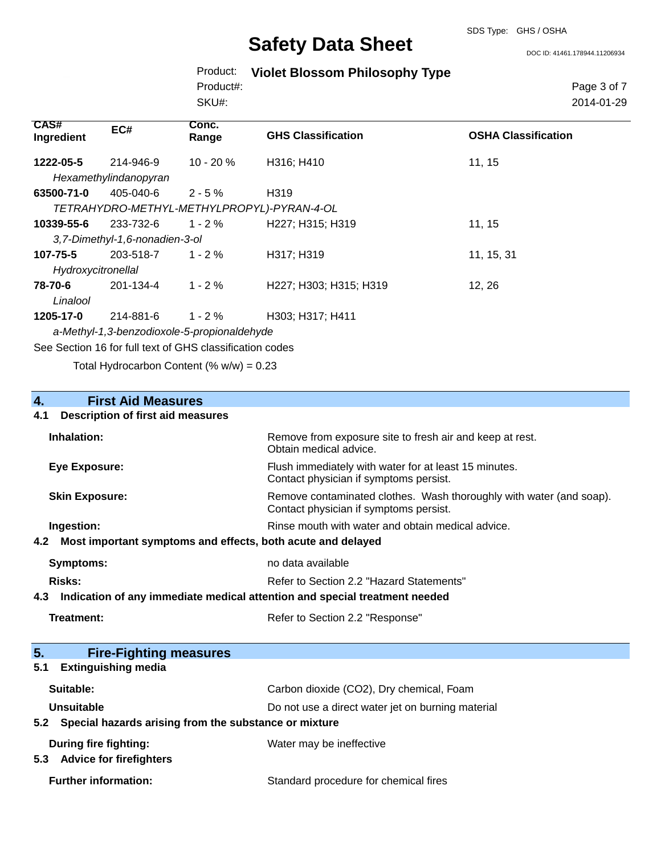DOC ID: 41461.178944.11206934

|  | Product: Violet Blossom Philosophy Type |  |  |
|--|-----------------------------------------|--|--|
|--|-----------------------------------------|--|--|

SKU#: Product#:

Page 3 of 7 2014-01-29

| <b>CAS#</b><br>Ingredient | EC#                            | Conc.<br>Range                                           | <b>GHS Classification</b> | <b>OSHA Classification</b> |
|---------------------------|--------------------------------|----------------------------------------------------------|---------------------------|----------------------------|
| 1222-05-5                 | 214-946-9                      | $10 - 20 \%$                                             | H316; H410                | 11, 15                     |
|                           | Hexamethylindanopyran          |                                                          |                           |                            |
| 63500-71-0                | 405-040-6                      | $2 - 5\%$                                                | H319                      |                            |
|                           |                                | TETRAHYDRO-METHYL-METHYLPROPYL)-PYRAN-4-OL               |                           |                            |
| 10339-55-6                | 233-732-6                      | $1 - 2 \%$                                               | H227; H315; H319          | 11, 15                     |
|                           | 3,7-Dimethyl-1,6-nonadien-3-ol |                                                          |                           |                            |
| 107-75-5                  | 203-518-7                      | $1 - 2 \%$                                               | H317; H319                | 11, 15, 31                 |
| Hydroxycitronellal        |                                |                                                          |                           |                            |
| 78-70-6                   | 201-134-4                      | $1 - 2 \%$                                               | H227; H303; H315; H319    | 12, 26                     |
| Linalool                  |                                |                                                          |                           |                            |
| 1205-17-0                 | 214-881-6                      | $1 - 2 \%$                                               | H303; H317; H411          |                            |
|                           |                                | a-Methyl-1,3-benzodioxole-5-propionaldehyde              |                           |                            |
|                           |                                | See Section 16 for full text of GHS classification codes |                           |                            |

Total Hydrocarbon Content (%  $w/w$ ) = 0.23

# **4. First Aid Measures**

## **4.1 Description of first aid measures**

| Inhalation:                                                                       | Remove from exposure site to fresh air and keep at rest.<br>Obtain medical advice.                            |  |
|-----------------------------------------------------------------------------------|---------------------------------------------------------------------------------------------------------------|--|
| <b>Eye Exposure:</b>                                                              | Flush immediately with water for at least 15 minutes.<br>Contact physician if symptoms persist.               |  |
| <b>Skin Exposure:</b>                                                             | Remove contaminated clothes. Wash thoroughly with water (and soap).<br>Contact physician if symptoms persist. |  |
| Ingestion:                                                                        | Rinse mouth with water and obtain medical advice.                                                             |  |
| Most important symptoms and effects, both acute and delayed<br>4.2                |                                                                                                               |  |
| <b>Symptoms:</b>                                                                  | no data available                                                                                             |  |
| <b>Risks:</b>                                                                     | Refer to Section 2.2 "Hazard Statements"                                                                      |  |
|                                                                                   |                                                                                                               |  |
| Indication of any immediate medical attention and special treatment needed<br>4.3 |                                                                                                               |  |
| Treatment:                                                                        | Refer to Section 2.2 "Response"                                                                               |  |
| 5.<br><b>Fire-Fighting measures</b>                                               |                                                                                                               |  |
| <b>Extinguishing media</b><br>5.1                                                 |                                                                                                               |  |
| Suitable:                                                                         | Carbon dioxide (CO2), Dry chemical, Foam                                                                      |  |
| Unsuitable                                                                        | Do not use a direct water jet on burning material                                                             |  |
| Special hazards arising from the substance or mixture<br>5.2                      |                                                                                                               |  |

| <b>Danny mv nynany.</b>     | <b><i>Prater thay be inchecuve</i></b> |  |
|-----------------------------|----------------------------------------|--|
| 5.3 Advice for firefighters |                                        |  |
| <b>Further information:</b> | Standard procedure for chemical fires  |  |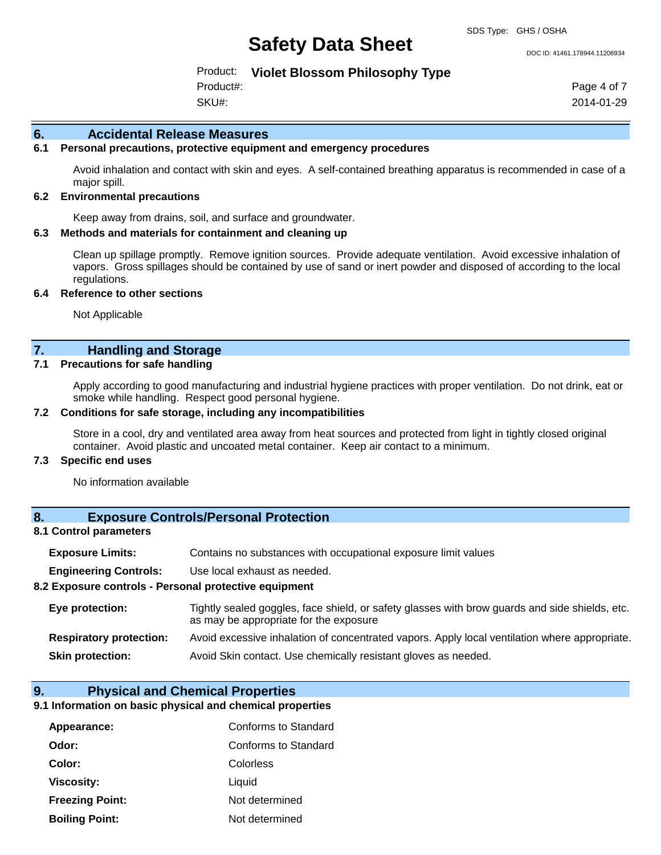DOC ID: 41461.178944.11206934

Product: **Violet Blossom Philosophy Type**

SKU#: Product#: Page 4 of 7 2014-01-29

### **6. Accidental Release Measures**

## **6.1 Personal precautions, protective equipment and emergency procedures**

Avoid inhalation and contact with skin and eyes. A self-contained breathing apparatus is recommended in case of a major spill.

## **6.2 Environmental precautions**

Keep away from drains, soil, and surface and groundwater.

#### **6.3 Methods and materials for containment and cleaning up**

Clean up spillage promptly. Remove ignition sources. Provide adequate ventilation. Avoid excessive inhalation of vapors. Gross spillages should be contained by use of sand or inert powder and disposed of according to the local regulations.

#### **6.4 Reference to other sections**

Not Applicable

## **7. Handling and Storage**

#### **7.1 Precautions for safe handling**

Apply according to good manufacturing and industrial hygiene practices with proper ventilation. Do not drink, eat or smoke while handling. Respect good personal hygiene.

## **7.2 Conditions for safe storage, including any incompatibilities**

Store in a cool, dry and ventilated area away from heat sources and protected from light in tightly closed original container. Avoid plastic and uncoated metal container. Keep air contact to a minimum.

## **7.3 Specific end uses**

No information available

## **8. Exposure Controls/Personal Protection**

## **8.1 Control parameters**

| <b>Exposure Limits:</b> | Contains no substances with occupational exposure limit values |
|-------------------------|----------------------------------------------------------------|
|                         |                                                                |

**Engineering Controls:** Use local exhaust as needed.

### **8.2 Exposure controls - Personal protective equipment**

| Eye protection:                | Tightly sealed goggles, face shield, or safety glasses with brow guards and side shields, etc.<br>as may be appropriate for the exposure |
|--------------------------------|------------------------------------------------------------------------------------------------------------------------------------------|
| <b>Respiratory protection:</b> | Avoid excessive inhalation of concentrated vapors. Apply local ventilation where appropriate.                                            |
| <b>Skin protection:</b>        | Avoid Skin contact. Use chemically resistant gloves as needed.                                                                           |

## **9. Physical and Chemical Properties**

## **9.1 Information on basic physical and chemical properties**

| Appearance:            | Conforms to Standard |
|------------------------|----------------------|
| Odor:                  | Conforms to Standard |
| Color:                 | Colorless            |
| Viscosity:             | Liquid               |
| <b>Freezing Point:</b> | Not determined       |
| <b>Boiling Point:</b>  | Not determined       |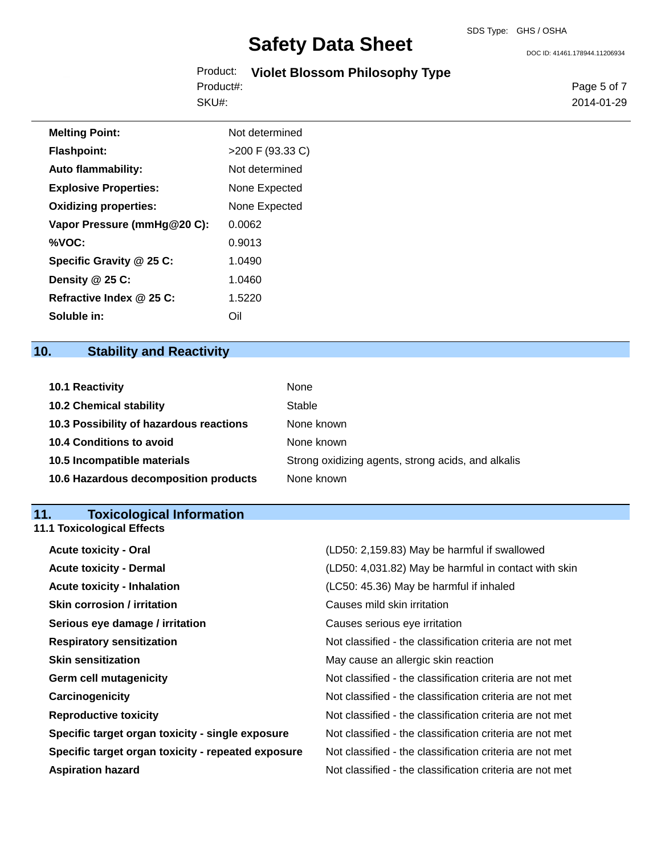DOC ID: 41461.178944.11206934

|           | Product: Violet Blossom Philosophy Type |  |
|-----------|-----------------------------------------|--|
| Product#: |                                         |  |
| SKU#:     |                                         |  |

Page 5 of 7 2014-01-29

| <b>Melting Point:</b>        | Not determined     |
|------------------------------|--------------------|
| <b>Flashpoint:</b>           | $>200$ F (93.33 C) |
| Auto flammability:           | Not determined     |
| <b>Explosive Properties:</b> | None Expected      |
| <b>Oxidizing properties:</b> | None Expected      |
| Vapor Pressure (mmHg@20 C):  | 0.0062             |
| %VOC:                        | 0.9013             |
| Specific Gravity @ 25 C:     | 1.0490             |
| Density @ 25 C:              | 1.0460             |
| Refractive Index @ 25 C:     | 1.5220             |
| Soluble in:                  | Oil                |

## **10. Stability and Reactivity**

| 10.1 Reactivity                         | None                                               |
|-----------------------------------------|----------------------------------------------------|
| <b>10.2 Chemical stability</b>          | Stable                                             |
| 10.3 Possibility of hazardous reactions | None known                                         |
| <b>10.4 Conditions to avoid</b>         | None known                                         |
| 10.5 Incompatible materials             | Strong oxidizing agents, strong acids, and alkalis |
| 10.6 Hazardous decomposition products   | None known                                         |

## **11. Toxicological Information**

**11.1 Toxicological Effects**

| <b>Acute toxicity - Oral</b>                       | (LD50: 2,159.83) May be harmful if swallowed             |
|----------------------------------------------------|----------------------------------------------------------|
| <b>Acute toxicity - Dermal</b>                     | (LD50: 4,031.82) May be harmful in contact with skin     |
| <b>Acute toxicity - Inhalation</b>                 | (LC50: 45.36) May be harmful if inhaled                  |
| <b>Skin corrosion / irritation</b>                 | Causes mild skin irritation                              |
| Serious eye damage / irritation                    | Causes serious eye irritation                            |
| <b>Respiratory sensitization</b>                   | Not classified - the classification criteria are not met |
| <b>Skin sensitization</b>                          | May cause an allergic skin reaction                      |
| <b>Germ cell mutagenicity</b>                      | Not classified - the classification criteria are not met |
| Carcinogenicity                                    | Not classified - the classification criteria are not met |
| <b>Reproductive toxicity</b>                       | Not classified - the classification criteria are not met |
| Specific target organ toxicity - single exposure   | Not classified - the classification criteria are not met |
| Specific target organ toxicity - repeated exposure | Not classified - the classification criteria are not met |
| <b>Aspiration hazard</b>                           | Not classified - the classification criteria are not met |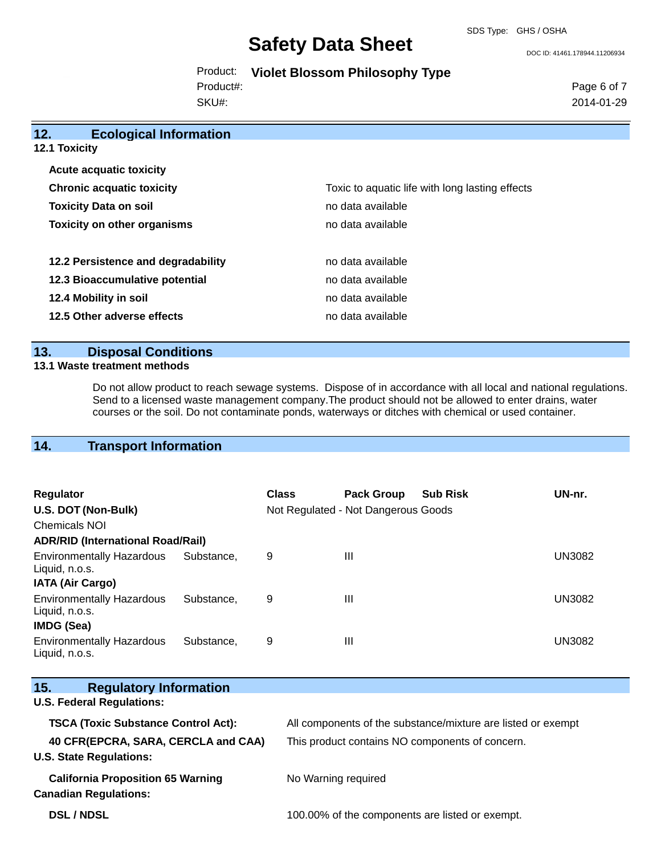DOC ID: 41461.178944.11206934

|  | Product: Violet Blossom Philosophy Type |  |  |
|--|-----------------------------------------|--|--|
|--|-----------------------------------------|--|--|

Product#:

SKU#:

Page 6 of 7 2014-01-29

| 12.<br><b>Ecological Information</b> |                                                 |
|--------------------------------------|-------------------------------------------------|
| 12.1 Toxicity                        |                                                 |
| <b>Acute acquatic toxicity</b>       |                                                 |
| <b>Chronic acquatic toxicity</b>     | Toxic to aquatic life with long lasting effects |
| <b>Toxicity Data on soil</b>         | no data available                               |
| <b>Toxicity on other organisms</b>   | no data available                               |
| 12.2 Persistence and degradability   | no data available                               |
| 12.3 Bioaccumulative potential       | no data available                               |
| 12.4 Mobility in soil                | no data available                               |
| 12.5 Other adverse effects           | no data available                               |

## **13. Disposal Conditions**

## **13.1 Waste treatment methods**

Do not allow product to reach sewage systems. Dispose of in accordance with all local and national regulations. Send to a licensed waste management company.The product should not be allowed to enter drains, water courses or the soil. Do not contaminate ponds, waterways or ditches with chemical or used container.

## **14. Transport Information**

| <b>Regulator</b><br>U.S. DOT (Non-Bulk)<br>Chemicals NOI                |            | <b>Class</b> | <b>Pack Group</b><br>Not Regulated - Not Dangerous Goods | <b>Sub Risk</b> | UN-nr. |
|-------------------------------------------------------------------------|------------|--------------|----------------------------------------------------------|-----------------|--------|
| <b>ADR/RID (International Road/Rail)</b>                                |            |              |                                                          |                 |        |
| <b>Environmentally Hazardous</b><br>Liquid, n.o.s.                      | Substance, | 9            | Ш                                                        |                 | UN3082 |
| <b>IATA (Air Cargo)</b>                                                 |            |              |                                                          |                 |        |
| <b>Environmentally Hazardous</b><br>Liquid, n.o.s.<br><b>IMDG (Sea)</b> | Substance. | 9            | Ш                                                        |                 | UN3082 |
| <b>Environmentally Hazardous</b><br>Liquid, n.o.s.                      | Substance. | 9            | Ш                                                        |                 | UN3082 |

| <b>Regulatory Information</b><br>15.       |                                                              |
|--------------------------------------------|--------------------------------------------------------------|
| <b>U.S. Federal Regulations:</b>           |                                                              |
| <b>TSCA (Toxic Substance Control Act):</b> | All components of the substance/mixture are listed or exempt |
| 40 CFR(EPCRA, SARA, CERCLA and CAA)        | This product contains NO components of concern.              |
| <b>U.S. State Regulations:</b>             |                                                              |
| <b>California Proposition 65 Warning</b>   | No Warning required                                          |
| <b>Canadian Regulations:</b>               |                                                              |
| <b>DSL/NDSL</b>                            | 100.00% of the components are listed or exempt.              |